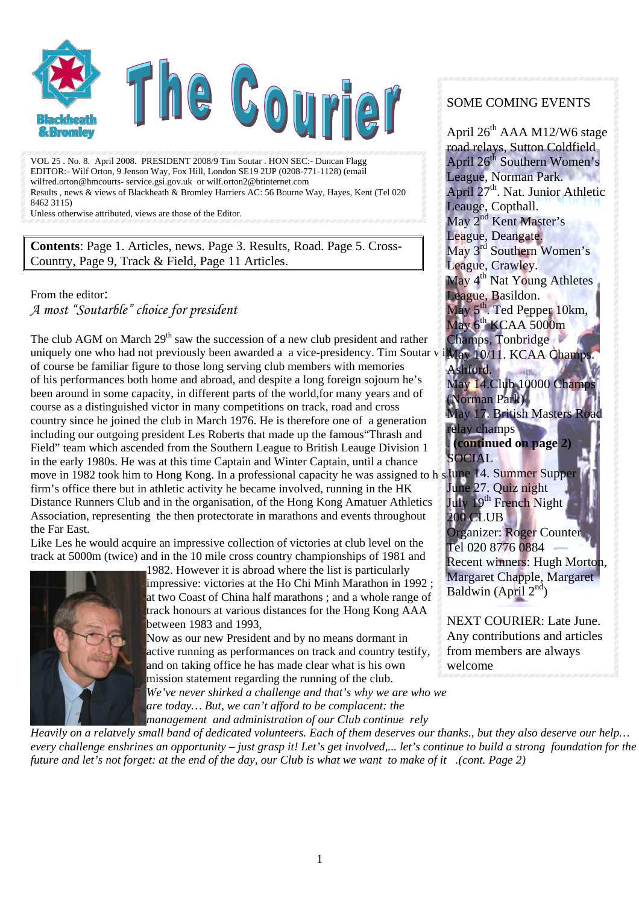

VOL 25 . No. 8. April 2008. PRESIDENT 2008/9 Tim Soutar . HON SEC:- Duncan Flagg EDITOR:- Wilf Orton, 9 Jenson Way, Fox Hill, London SE19 2UP (0208-771-1128) (email wilfred.orton@hmcourts- service.gsi.gov.uk or wilf.orton2@btinternet.com Results , news & views of Blackheath & Bromley Harriers AC: 56 Bourne Way, Hayes, Kent (Tel 020 8462 3115)

Unless otherwise attributed, views are those of the Editor.

**Contents**: Page 1. Articles, news. Page 3. Results, Road. Page 5. Cross-Country, Page 9, Track & Field, Page 11 Articles.

From the editor: *A most "Soutarble" choice for president* 

The club AGM on March  $29<sup>th</sup>$  saw the succession of a new club president and rather uniquely one who had not previously been awarded a a vice-presidency. Tim Soutar v iMay 10/11. KCAA Champs. of course be familiar figure to those long serving club members with memories of his performances both home and abroad, and despite a long foreign sojourn he's been around in some capacity, in different parts of the world,for many years and of course as a distinguished victor in many competitions on track, road and cross country since he joined the club in March 1976. He is therefore one of a generation including our outgoing president Les Roberts that made up the famous"Thrash and Field" team which ascended from the Southern League to British Leauge Division 1 in the early 1980s. He was at this time Captain and Winter Captain, until a chance move in 1982 took him to Hong Kong. In a professional capacity he was assigned to h firm's office there but in athletic activity he became involved, running in the HK Distance Runners Club and in the organisation, of the Hong Kong Amatuer Athletics Association, representing the then protectorate in marathons and events throughout the Far East.

Like Les he would acquire an impressive collection of victories at club level on the track at 5000m (twice) and in the 10 mile cross country championships of 1981 and



1982. However it is abroad where the list is particularly impressive: victories at the Ho Chi Minh Marathon in 1992 ; at two Coast of China half marathons ; and a whole range of track honours at various distances for the Hong Kong AAA between 1983 and 1993,

Now as our new President and by no means dormant in active running as performances on track and country testify, and on taking office he has made clear what is his own mission statement regarding the running of the club. *We've never shirked a challenge and that's why we are who we are today… But, we can't afford to be complacent: the* 

#### SOME COMING EVENTS

April 26<sup>th</sup> AAA M12/W6 stage road relays, Sutton Coldfield April 26<sup>th</sup> Southern Women's League, Norman Park. April 27<sup>th</sup>. Nat. Junior Athletic Leauge, Copthall. May 2<sup>nd</sup> Kent Master's League, Deangate. May 3<sup>rd</sup> Southern Women's League, Crawley. May 4<sup>th</sup> Nat Young Athletes League, Basildon. May 5<sup>th</sup>. Ted Pepper 10km, May  $6<sup>th</sup>$  KCAA 5000m Champs, Tonbridge Ashford. May 14.Club 10000 Champ (Norman Park) May 17. British Masters relay champs . **(continued on page 2)** SOCIAL June 14. Summer Supper June 27. Quiz night July 19<sup>th</sup> French Night 200 CLUB Organizer: Roger Counter Tel 020 8776 0884 Recent winners: Hugh Morton, Margaret Chapple, Margaret Baldwin (April  $2<sup>nd</sup>$ )

NEXT COURIER: Late June. Any contributions and articles from members are always welcome

*management and administration of our Club continue rely* 

*Heavily on a relatvely small band of dedicated volunteers. Each of them deserves our thanks., but they also deserve our help… every challenge enshrines an opportunity – just grasp it! Let's get involved,... let's continue to build a strong foundation for the future and let's not forget: at the end of the day, our Club is what we want to make of it .(cont. Page 2)*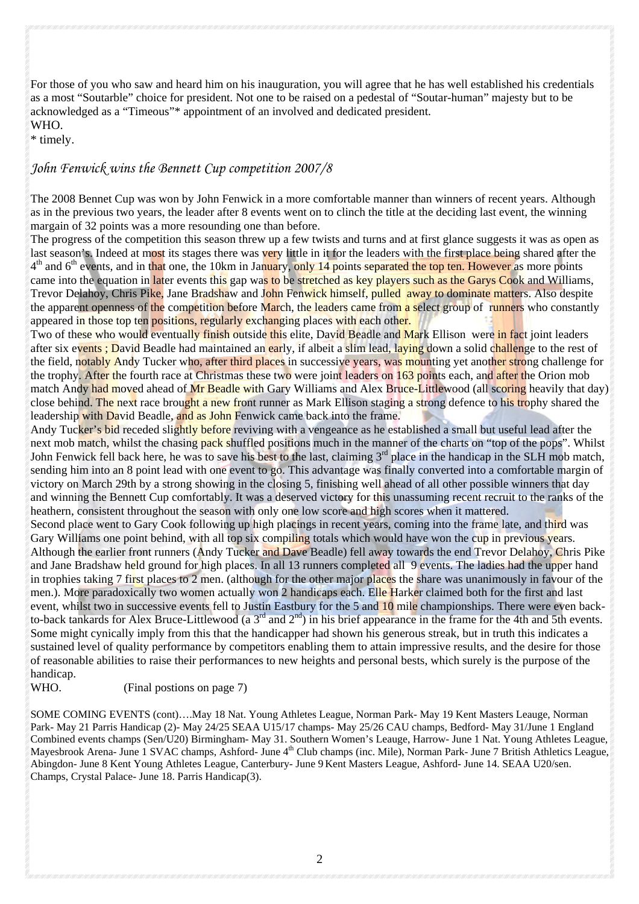For those of you who saw and heard him on his inauguration, you will agree that he has well established his credentials as a most "Soutarble" choice for president. Not one to be raised on a pedestal of "Soutar-human" majesty but to be acknowledged as a "Timeous"\* appointment of an involved and dedicated president. WHO.

\* timely.

#### *John Fenwick wins the Bennett Cup competition 2007/8*

The 2008 Bennet Cup was won by John Fenwick in a more comfortable manner than winners of recent years. Although as in the previous two years, the leader after 8 events went on to clinch the title at the deciding last event, the winning margain of 32 points was a more resounding one than before.

The progress of the competition this season threw up a few twists and turns and at first glance suggests it was as open as last season's. Indeed at most its stages there was very little in it for the leaders with the first place being shared after the  $4<sup>th</sup>$  and  $6<sup>th</sup>$  events, and in that one, the 10km in January, only 14 points separated the top ten. However as more points came into the equation in later events this gap was to be stretched as key players such as the Garys Cook and Williams, Trevor Delahoy, Chris Pike, Jane Bradshaw and John Fenwick himself, pulled away to dominate matters. Also despite the apparent openness of the competition before March, the leaders came from a select group of runners who constantly appeared in those top ten positions, regularly exchanging places with each other.

Two of these who would eventually finish outside this elite, David Beadle and Mark Ellison were in fact joint leaders after six events; David Beadle had maintained an early, if albeit a slim lead, laying down a solid challenge to the rest of the field, notably Andy Tucker who, after third places in successive years, was mounting yet another strong challenge for the trophy. After the fourth race at Christmas these two were joint leaders on 163 points each, and after the Orion mob match Andy had moved ahead of Mr Beadle with Gary Williams and Alex Bruce-Littlewood (all scoring heavily that day) close behind. The next race brought a new front runner as Mark Ellison staging a strong defence to his trophy shared the leadership with David Beadle, and as John Fenwick came back into the frame.

Andy Tucker's bid receded slightly before reviving with a vengeance as he established a small but useful lead after the next mob match, whilst the chasing pack shuffled positions much in the manner of the charts on "top of the pops". Whilst John Fenwick fell back here, he was to save his best to the last, claiming  $3<sup>rd</sup>$  place in the handicap in the SLH mob match, sending him into an 8 point lead with one event to go. This advantage was finally converted into a comfortable margin of victory on March 29th by a strong showing in the closing 5, finishing well ahead of all other possible winners that day and winning the Bennett Cup comfortably. It was a deserved victory for this unassuming recent recruit to the ranks of the heathern, consistent throughout the season with only one low score and high scores when it mattered.

Second place went to Gary Cook following up high placings in recent years, coming into the frame late, and third was Gary Williams one point behind, with all top six compiling totals which would have won the cup in previous years. Although the earlier front runners (Andy Tucker and Dave Beadle) fell away towards the end Trevor Delahoy, Chris Pike and Jane Bradshaw held ground for high places. In all 13 runners completed all 9 events. The ladies had the upper hand in trophies taking 7 first places to 2 men. (although for the other major places the share was unanimously in favour of the men.). More paradoxically two women actually won 2 handicaps each. Elle Harker claimed both for the first and last event, whilst two in successive events fell to Justin Eastbury for the 5 and 10 mile championships. There were even backto-back tankards for Alex Bruce-Littlewood (a  $3<sup>rd</sup>$  and  $2<sup>nd</sup>$ ) in his brief appearance in the frame for the 4th and 5th events. Some might cynically imply from this that the handicapper had shown his generous streak, but in truth this indicates a sustained level of quality performance by competitors enabling them to attain impressive results, and the desire for those of reasonable abilities to raise their performances to new heights and personal bests, which surely is the purpose of the handicap.

#### WHO. (Final postions on page 7)

SOME COMING EVENTS (cont)….May 18 Nat. Young Athletes League, Norman Park- May 19 Kent Masters Leauge, Norman Park- May 21 Parris Handicap (2)- May 24/25 SEAA U15/17 champs- May 25/26 CAU champs, Bedford- May 31/June 1 England Combined events champs (Sen/U20) Birmingham- May 31. Southern Women's Leauge, Harrow- June 1 Nat. Young Athletes League, Mayesbrook Arena- June 1 SVAC champs, Ashford- June 4<sup>th</sup> Club champs (inc. Mile), Norman Park- June 7 British Athletics League, Abingdon- June 8 Kent Young Athletes League, Canterbury- June 9 Kent Masters League, Ashford- June 14. SEAA U20/sen. Champs, Crystal Palace- June 18. Parris Handicap(3).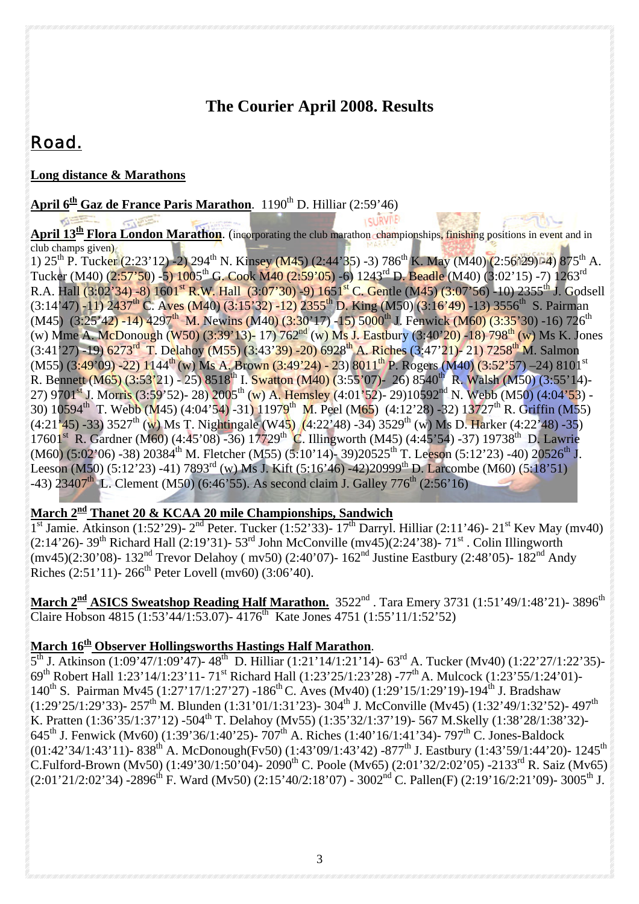### **The Courier April 2008. Results**

# *Road.*

**KIEEE** 

#### **Long distance & Marathons**

 $\sim$ 

**April**  $6^{\text{th}}$  **Gaz de France Paris Marathon.** 1190<sup>th</sup> D. Hilliar (2:59'46) **LELLRVIVE** 

**April 13<sup>th</sup> Flora London Marathon**. (incorporating the club marathon championships, finishing positions in event and in  $\frac{1}{\text{club changes given}}$ 

1)  $25^{th}$  P. Tucker (2:23'12) -2) 294<sup>th</sup> N. Kinsey (M45) (2:44'35) -3) 786<sup>th</sup> K. May (M40) (2:56'29) <sup>04</sup>) 875<sup>th</sup> A. Tucker (M40) (2:57'50) -5) 1005<sup>th</sup> G. Cook M40 (2:59'05) -6) 1243<sup>rd</sup> D. Beadle (M40) (3:02'15) -7) 1263<sup>rd</sup> R.A. Hall (3:02'34) -8) 1601<sup>st</sup> R.W. Hall (3:07'30) -9) 1651<sup>st</sup> C. Gentle (M45) (3:07'56) -10) 2355<sup>th</sup> J. Godsell  $(3:14'47)$  -11) 2437<sup>th</sup> C. Aves (M40)  $(3:15'32)$  -12) 2355<sup>th</sup> D. King (M50)  $(3:16'49)$  -13) 3556<sup>th</sup> S. Pairman (M45) (3:25'42) -14) 4297<sup>th</sup> M. Newins (M40) (3:30'17) -15) 5000<sup>th</sup> J. Fenwick (M60) (3:35'30) -16) 726<sup>th</sup> (w) Mme A. McDonough (W50) (3:39'13)- 17) 762nd (w) Ms J. Eastbury (3:40'20) -18) 798th (w) Ms K. Jones (3:41'27) -19) 6273<sup>rd</sup> T. Delahoy (M55) (3:43'39) -20) 6928<sup>th</sup> A. Riches (3:47'21)- 21) 7258<sup>th</sup> M. Salmon (M55) (3:49'09) -22) 1144<sup>th</sup> (w) Ms A. Brown (3:49'24) - 23) 8011<sup>th</sup> P. Rogers (M40) (3:52'57) -24) 8101<sup>st</sup> R. Bennett (M65) (3:53'21) - 25) 8518<sup>th</sup> I. Swatton (M40) (3:55'07)- 26) 8540<sup>th</sup> R. Walsh (M50) (3:55'14)-27) 9701<sup>st</sup> J. Morris (3:59'52)- 28) 2005<sup>th</sup> (w) A. Hemsley (4:01'52)- 29)10592<sup>nd</sup> N. Webb (M50) (4:04'53) -30) 10594th T. Webb (M45) (4:04'54) -31) 11979th M. Peel (M65) (4:12'28) -32) 13727th R. Griffin (M55)  $(4:21'$ 45) -33) 3527<sup>th</sup> (w) Ms T. Nightingale (W45)  $(4:22'48)$  -34) 3529<sup>th</sup> (w) Ms D. Harker (4:22'48) -35) 17601<sup>st</sup> R. Gardner (M60) (4:45'08) -36) 17729<sup>th</sup> C. Illingworth (M45) (4:45'54) -37) 19738<sup>th</sup> D. Lawrie  $(M60)$  (5:02'06) -38) 20384<sup>th</sup> M. Fletcher (M55) (5:10'14)- 39)20525<sup>th</sup> T. Leeson (5:12'23) -40) 20526<sup>th</sup> J. Leeson (M50)  $(5:12'23)$  -41) 7893<sup>rd</sup> (w) Ms J. Kift (5:16'46) -42)20999<sup>th</sup> D. Larcombe (M60) (5:18'51)  $-43)$  23407<sup>th</sup> L. Clement (M50) (6:46'55). As second claim J. Galley 776<sup>th</sup> (2:56'16)

#### **March 2nd Thanet 20 & KCAA 20 mile Championships, Sandwich**

 $1^{\text{st}}$  Jamie. Atkinson (1:52'29)-  $2^{\text{nd}}$  Peter. Tucker (1:52'33)-  $17^{\text{th}}$  Darryl. Hilliar (2:11'46)-  $21^{\text{st}}$  Kev May (mv40) (2:14'26)- 39th Richard Hall (2:19'31)- 53rd John McConville (mv45)(2:24'38)- 71st . Colin Illingworth (mv45)(2:30'08)- 132nd Trevor Delahoy ( mv50) (2:40'07)- 162nd Justine Eastbury (2:48'05)- 182nd Andy Riches  $(2:51'11)$ - 266<sup>th</sup> Peter Lovell (mv60) (3:06'40).

March 2<sup>nd</sup> ASICS Sweatshop Reading Half Marathon. 3522<sup>nd</sup> . Tara Emery 3731 (1:51'49/1:48'21)- 3896<sup>th</sup> Claire Hobson 4815 (1:53'44/1:53.07)- 4176th Kate Jones 4751 (1:55'11/1:52'52)

#### **March 16th Observer Hollingsworths Hastings Half Marathon**.

 $5<sup>th</sup>$  J. Atkinson (1:09'47/1:09'47)- 48<sup>th</sup> D. Hilliar (1:21'14/1:21'14)- 63<sup>rd</sup> A. Tucker (Mv40) (1:22'27/1:22'35)-69th Robert Hall 1:23'14/1:23'11- 71st Richard Hall (1:23'25/1:23'28) -77th A. Mulcock (1:23'55/1:24'01)- 140<sup>th</sup> S. Pairman My45 (1:27'17/1:27'27) -186<sup>th</sup> C. Aves (My40) (1:29'15/1:29'19)-194<sup>th</sup> J. Bradshaw  $(1:29'25/1:29'33)$ - 257<sup>th</sup> M. Blunden (1:31'01/1:31'23)- 304<sup>th</sup> J. McConville (Mv45) (1:32'49/1:32'52)- 497<sup>th</sup> K. Pratten (1:36'35/1:37'12) -504<sup>th</sup> T. Delahoy (Mv55) (1:35'32/1:37'19)- 567 M.Skelly (1:38'28/1:38'32)-645<sup>th</sup> J. Fenwick (Mv60) (1:39'36/1:40'25)- 707<sup>th</sup> A. Riches (1:40'16/1:41'34)- 797<sup>th</sup> C. Jones-Baldock  $(01:42'34/1:43'11)$ - 838<sup>th</sup> A. McDonough(Fv50) (1:43'09/1:43'42) -877<sup>th</sup> J. Eastbury (1:43'59/1:44'20)- 1245<sup>th</sup> C.Fulford-Brown (Mv50) (1:49'30/1:50'04)- 2090th C. Poole (Mv65) (2:01'32/2:02'05) -2133rd R. Saiz (Mv65)  $(2:01'21/2:02'34)$  -2896<sup>th</sup> F. Ward (Mv50) (2:15'40/2:18'07) - 3002<sup>nd</sup> C. Pallen(F) (2:19'16/2:21'09)- 3005<sup>th</sup> J.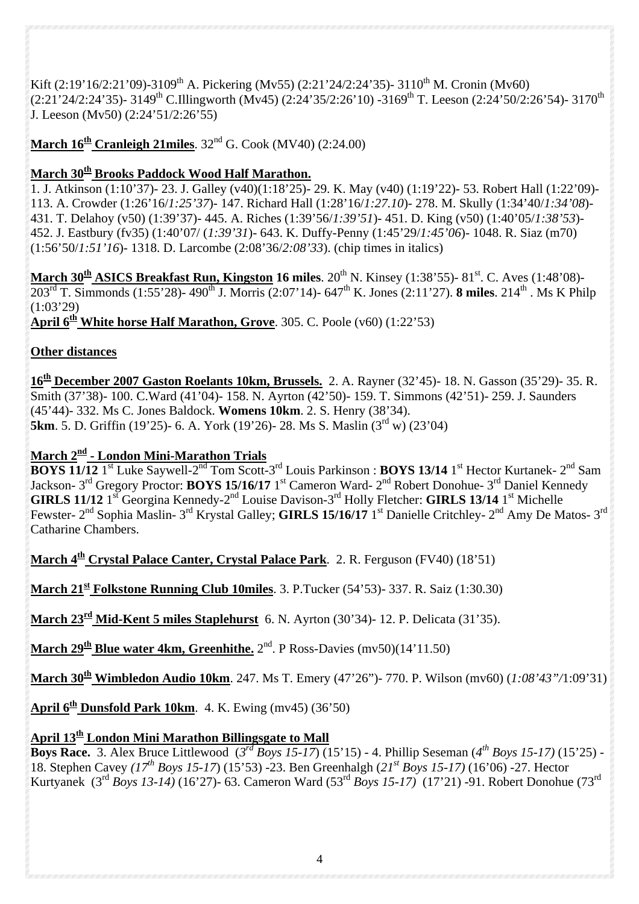Kift (2:19'16/2:21'09)-3109<sup>th</sup> A. Pickering (Mv55) (2:21'24/2:24'35)- 3110<sup>th</sup> M. Cronin (Mv60) (2:21'24/2:24'35)- 3149th C.Illingworth (Mv45) (2:24'35/2:26'10) -3169th T. Leeson (2:24'50/2:26'54)- 3170th J. Leeson (Mv50) (2:24'51/2:26'55)

**March 16<sup>th</sup> Cranleigh 21miles**. 32<sup>nd</sup> G. Cook (MV40) (2:24.00)

#### **March 30th Brooks Paddock Wood Half Marathon.**

1. J. Atkinson (1:10'37)- 23. J. Galley (v40)(1:18'25)- 29. K. May (v40) (1:19'22)- 53. Robert Hall (1:22'09)- 113. A. Crowder (1:26'16/*1:25'37*)- 147. Richard Hall (1:28'16/*1:27.10*)- 278. M. Skully (1:34'40/*1:34'08*)- 431. T. Delahoy (v50) (1:39'37)- 445. A. Riches (1:39'56/*1:39'51*)- 451. D. King (v50) (1:40'05/*1:38'53*)- 452. J. Eastbury (fv35) (1:40'07/ (*1:39'31*)- 643. K. Duffy-Penny (1:45'29/*1:45'06*)- 1048. R. Siaz (m70) (1:56'50/*1:51'16*)- 1318. D. Larcombe (2:08'36/*2:08'33*). (chip times in italics)

March 30<sup>th</sup> ASICS Breakfast Run, Kingston 16 miles. 20<sup>th</sup> N. Kinsey (1:38'55)- 81<sup>st</sup>. C. Aves (1:48'08)-203rd T. Simmonds (1:55'28)- 490th J. Morris (2:07'14)- 647th K. Jones (2:11'27). **8 miles**. 214th . Ms K Philp  $(1:03'29)$ 

**April 6th White horse Half Marathon, Grove**. 305. C. Poole (v60) (1:22'53)

#### **Other distances**

**16th December 2007 Gaston Roelants 10km, Brussels.** 2. A. Rayner (32'45)- 18. N. Gasson (35'29)- 35. R. Smith (37'38)- 100. C.Ward (41'04)- 158. N. Ayrton (42'50)- 159. T. Simmons (42'51)- 259. J. Saunders (45'44)- 332. Ms C. Jones Baldock. **Womens 10km**. 2. S. Henry (38'34). **5km**. 5. D. Griffin (19'25)- 6. A. York (19'26)- 28. Ms S. Maslin (3<sup>rd</sup> w) (23'04)

#### **March 2nd - London Mini-Marathon Trials**

**BOYS 11/12** 1<sup>st</sup> Luke Saywell-2<sup>nd</sup> Tom Scott-3<sup>rd</sup> Louis Parkinson : **BOYS 13/14** 1<sup>st</sup> Hector Kurtanek- 2<sup>nd</sup> Sam Jackson- 3<sup>rd</sup> Gregory Proctor: **BOYS 15/16/17** 1<sup>st</sup> Cameron Ward- 2<sup>nd</sup> Robert Donohue- 3<sup>rd</sup> Daniel Kennedy **GIRLS 11/12** 1<sup>st</sup> Georgina Kennedy-2<sup>nd</sup> Louise Davison-3<sup>rd</sup> Holly Fletcher: **GIRLS 13/14** 1<sup>st</sup> Michelle Fewster- 2<sup>nd</sup> Sophia Maslin- 3<sup>rd</sup> Krystal Galley; **GIRLS 15/16/17** 1<sup>st</sup> Danielle Critchley- 2<sup>nd</sup> Amy De Matos- 3<sup>rd</sup> Catharine Chambers.

**March 4<sup>th</sup> Crystal Palace Canter, Crystal Palace Park.** 2. R. Ferguson (FV40) (18'51)

**March 21st Folkstone Running Club 10miles**. 3. P.Tucker (54'53)- 337. R. Saiz (1:30.30)

**March 23rd Mid-Kent 5 miles Staplehurst** 6. N. Ayrton (30'34)- 12. P. Delicata (31'35).

**March 29<sup>th</sup> Blue water 4km, Greenhithe.** 2<sup>nd</sup>. P Ross-Davies (mv50)(14'11.50)

**March 30th Wimbledon Audio 10km**. 247. Ms T. Emery (47'26")- 770. P. Wilson (mv60) (*1:08'43"/*1:09'31)

**April**  $6^{\underline{th}}$  **Dunsfold Park 10km.** 4. K. Ewing (mv45) (36'50)

#### **April 13th London Mini Marathon Billingsgate to Mall**

**Boys Race.** 3. Alex Bruce Littlewood (*3rd Boys 15-17*) (15'15) - 4. Phillip Seseman (*4th Boys 15-17)* (15'25) - 18. Stephen Cavey *(17th Boys 15-17*) (15'53) -23. Ben Greenhalgh (*21st Boys 15-17)* (16'06) -27. Hector Kurtyanek (3rd *Boys 13-14)* (16'27)- 63. Cameron Ward (53rd *Boys 15-17)* (17'21) -91. Robert Donohue (73rd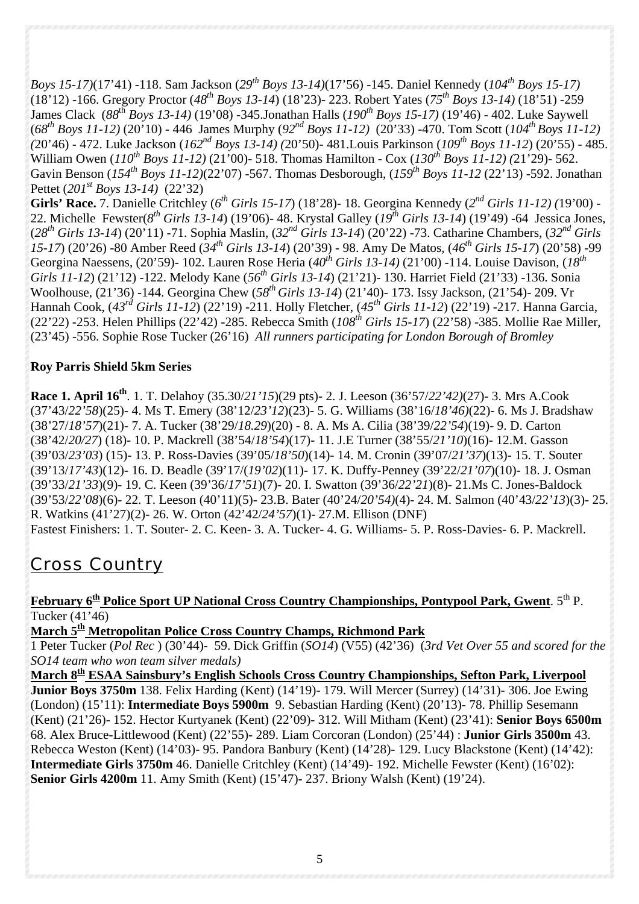*Boys 15-17)*(17'41) -118. Sam Jackson (*29th Boys 13-14)*(17'56) -145. Daniel Kennedy (*104th Boys 15-17)* (18'12) -166. Gregory Proctor (*48th Boys 13-14*) (18'23)- 223. Robert Yates (*75th Boys 13-14)* (18'51) -259 James Clack (*88*th *Boys 13-14)* (19'08) -345.Jonathan Halls (*190th Boys 15-17)* (19'46) - 402. Luke Saywell (*68th Boys 11-12)* (20'10) - 446 James Murphy (*92nd Boys 11-12)* (20'33) -470. Tom Scott (*104th Boys 11-12) (*20'46) - 472. Luke Jackson (*162nd Boys 13-14) (*20'50)- 481.Louis Parkinson (*109th Boys 11-12*) (20'55) - 485. William Owen (*110th Boys 11-12)* (21'00)- 518. Thomas Hamilton - Cox (*130th Boys 11-12) (*21'29)- 562. Gavin Benson (*154th Boys 11-12)*(22'07) -567. Thomas Desborough, (*159th Boys 11-12* (22'13) -592. Jonathan Pettet (*201st Boys 13-14)* (22'32)

**Girls' Race.** 7. Danielle Critchley (*6th Girls 15-17*) (18'28)- 18. Georgina Kennedy (*2nd Girls 11-12) (*19'00) - 22. Michelle Fewster( $8^{th}$  Girls 13-14) (19'06)-48. Krystal Galley ( $19^{th}$  Girls 13-14) (19'49) -64 Jessica Jones, (*28th Girls 13-14*) (20'11) -71. Sophia Maslin, (*32nd Girls 13-14*) (20'22) -73. Catharine Chambers, (*32nd Girls 15-17*) (20'26) -80 Amber Reed (*34th Girls 13-14*) (20'39) - 98. Amy De Matos, (*46th Girls 15-17*) (20'58) -99 Georgina Naessens, (20'59)- 102. Lauren Rose Heria (*40th Girls 13-14)* (21'00) -114. Louise Davison, (*18th Girls 11-12*) (21'12) -122. Melody Kane (*56th Girls 13-14*) (21'21)- 130. Harriet Field (21'33) -136. Sonia Woolhouse, (21'36) -144. Georgina Chew (*58th Girls 13-14*) (21'40)- 173. Issy Jackson, (21'54)- 209. Vr Hannah Cook, (*43rd Girls 11-12*) (22'19) -211. Holly Fletcher, (*45th Girls 11-12*) (22'19) -217. Hanna Garcia, (22'22) -253. Helen Phillips (22'42) -285. Rebecca Smith (*108th Girls 15-17*) (22'58) -385. Mollie Rae Miller, (23'45) -556. Sophie Rose Tucker (26'16) *All runners participating for London Borough of Bromley*

#### **Roy Parris Shield 5km Series**

**Race 1. April 16th**. 1. T. Delahoy (35.30/*21'15*)(29 pts)- 2. J. Leeson (36'57/*22'42)*(27)- 3. Mrs A.Cook (37'43/*22'58*)(25)- 4. Ms T. Emery (38'12/*23'12*)(23)- 5. G. Williams (38'16/*18'46)*(22)- 6. Ms J. Bradshaw (38'27/*18'57*)(21)- 7. A. Tucker (38'29/*18.29*)(20) - 8. A. Ms A. Cilia (38'39/*22'54*)(19)- 9. D. Carton (38'42/*20/27*) (18)- 10. P. Mackrell (38'54/*18'54*)(17)- 11. J.E Turner (38'55/*21'10*)(16)- 12.M. Gasson (39'03/*23'03*) (15)- 13. P. Ross-Davies (39'05/*18'50*)(14)- 14. M. Cronin (39'07/*21'37*)(13)- 15. T. Souter (39'13/*17'43*)(12)- 16. D. Beadle (39'17/(*19'02*)(11)- 17. K. Duffy-Penney (39'22/*21'07*)(10)- 18. J. Osman (39'33/*21'33*)(9)- 19. C. Keen (39'36/*17'51*)(7)- 20. I. Swatton (39'36/*22'21*)(8)- 21.Ms C. Jones-Baldock (39'53/*22'08*)(6)- 22. T. Leeson (40'11)(5)- 23.B. Bater (40'24/*20'54)*(4)- 24. M. Salmon (40'43/*22'13*)(3)- 25. R. Watkins (41'27)(2)- 26. W. Orton (42'42/*24'57*)(1)- 27.M. Ellison (DNF) Fastest Finishers: 1. T. Souter- 2. C. Keen- 3. A. Tucker- 4. G. Williams- 5. P. Ross-Davies- 6. P. Mackrell.

# *Cross Country*

#### **February 6th Police Sport UP National Cross Country Championships, Pontypool Park, Gwent**. 5th P. Tucker (41'46)

**March 5th Metropolitan Police Cross Country Champs, Richmond Park**

1 Peter Tucker (*Pol Rec* ) (30'44)- 59. Dick Griffin (*SO14*) (V55) (42'36) (*3rd Vet Over 55 and scored for the SO14 team who won team silver medals)*

**March 8th ESAA Sainsbury's English Schools Cross Country Championships, Sefton Park, Liverpool Junior Boys 3750m** 138. Felix Harding (Kent) (14'19)- 179. Will Mercer (Surrey) (14'31)- 306. Joe Ewing (London) (15'11): **Intermediate Boys 5900m** 9. Sebastian Harding (Kent) (20'13)- 78. Phillip Sesemann (Kent) (21'26)- 152. Hector Kurtyanek (Kent) (22'09)- 312. Will Mitham (Kent) (23'41): **Senior Boys 6500m** 68. Alex Bruce-Littlewood (Kent) (22'55)- 289. Liam Corcoran (London) (25'44) : **Junior Girls 3500m** 43. Rebecca Weston (Kent) (14'03)- 95. Pandora Banbury (Kent) (14'28)- 129. Lucy Blackstone (Kent) (14'42): **Intermediate Girls 3750m** 46. Danielle Critchley (Kent) (14'49)- 192. Michelle Fewster (Kent) (16'02): **Senior Girls 4200m** 11. Amy Smith (Kent) (15'47)- 237. Briony Walsh (Kent) (19'24).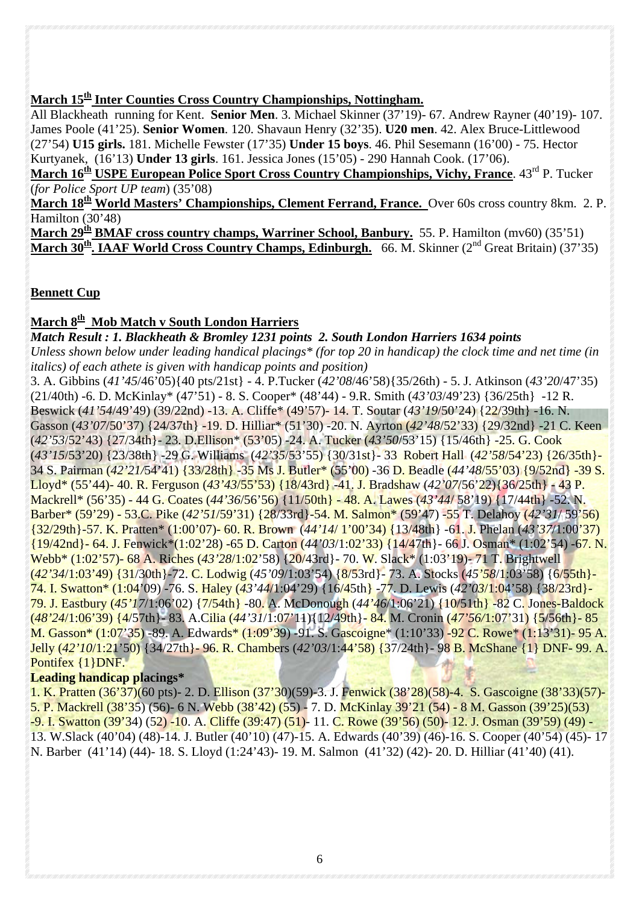#### **March 15th Inter Counties Cross Country Championships, Nottingham.**

All Blackheath running for Kent. **Senior Men**. 3. Michael Skinner (37'19)- 67. Andrew Rayner (40'19)- 107. James Poole (41'25). **Senior Women**. 120. Shavaun Henry (32'35). **U20 men**. 42. Alex Bruce-Littlewood (27'54) **U15 girls.** 181. Michelle Fewster (17'35) **Under 15 boys**. 46. Phil Sesemann (16'00) - 75. Hector Kurtyanek, (16'13) **Under 13 girls**. 161. Jessica Jones (15'05) - 290 Hannah Cook. (17'06).

**March 16<sup>th</sup> USPE European Police Sport Cross Country Championships, Vichy, France. 43<sup>rd</sup> P. Tucker** (*for Police Sport UP team*) (35'08)

**March 18th World Masters' Championships, Clement Ferrand, France.** Over 60s cross country 8km. 2. P. Hamilton (30'48)

**March 29th BMAF cross country champs, Warriner School, Banbury.** 55. P. Hamilton (mv60) (35'51) **March 30th. IAAF World Cross Country Champs, Edinburgh.** 66. M. Skinner (2nd Great Britain) (37'35)

#### **Bennett Cup**

#### **March 8th Mob Match v South London Harriers**

*Match Result : 1. Blackheath & Bromley 1231 points 2. South London Harriers 1634 points Unless shown below under leading handical placings\* (for top 20 in handicap) the clock time and net time (in italics) of each athete is given with handicap points and position)*

3. A. Gibbins (*41'45*/46'05){40 pts/21st} - 4. P.Tucker (*42'08*/46'58){35/26th) - 5. J. Atkinson (*43'20*/47'35) (21/40th) -6. D. McKinlay\* (47'51) - 8. S. Cooper\* (48'44) - 9.R. Smith (*43'03*/49'23) {36/25th} -12 R. Beswick (*41'54*/49'49) (39/22nd) -13. A. Cliffe\* (49'57)- 14. T. Soutar (*43'19*/50'24) {22/39th} -16. N. Gasson (*43'07*/50'37) {24/37th} -19. D. Hilliar\* (51'30) -20. N. Ayrton (*42'48*/52'33) {29/32nd} -21 C. Keen (*42'53*/52'43) {27/34th}- 23. D.Ellison\* (53'05) -24. A. Tucker (*43'50*/53'15) {15/46th} -25. G. Cook (*43'15*/53'20) {23/38th} -29 G. Williams (*42'35*/53'55) {30/31st}- 33 Robert Hall (*42'58*/54'23) {26/35th}- 34 S. Pairman (*42'21/*54'41) {33/28th} -35 Ms J. Butler\* (55'00) -36 D. Beadle (*44'48*/55'03) {9/52nd} -39 S. Lloyd\* (55'44)- 40. R. Ferguson (*43'43*/55'53) {18/43rd} -41. J. Bradshaw (*42'07*/56'22){36/25th} - 43 P. Mackrell\* (56'35) - 44 G. Coates (*44'36*/56'56) {11/50th} - 48. A. Lawes (*43'44*/ 58'19) {17/44th} -52. N. Barber\* (59'29) - 53.C. Pike (*42'51*/59'31) {28/33rd}-54. M. Salmon\* (59'47) -55 T. Delahoy (*42'31*/ 59'56) {32/29th}-57. K. Pratten\* (1:00'07)- 60. R. Brown (*44'14*/ 1'00'34) {13/48th} -61. J. Phelan (*43'37*/1:00'37) {19/42nd}- 64. J. Fenwick\*(1:02'28) -65 D. Carton (*44'03*/1:02'33) {14/47th}- 66 J. Osman\* (1:02'54) -67. N. Webb\* (1:02'57)- 68 A. Riches (*43'28*/1:02'58) {20/43rd}- 70. W. Slack\* (1:03'19)- 71 T. Brightwell (*42'34*/1:03'49) {31/30th}-72. C. Lodwig (*45'09*/1:03'54) {8/53rd}- 73. A. Stocks (*45'58*/1:03'58) {6/55th}- 74. I. Swatton\* (1:04'09) -76. S. Haley (*43'44*/1:04'29) {16/45th} -77. D. Lewis (*42'03*/1:04'58) {38/23rd}- 79. J. Eastbury (*45'17*/1:06'02) {7/54th} -80. A. McDonough (*44'46*/1:06'21) {10/51th} -82 C. Jones-Baldock (*48'24*/1:06'39) {4/57th}- 83. A.Cilia (*44'31*/1:07'11){12/49th}- 84. M. Cronin (*47'56/*1:07'31) {5/56th}- 85 M. Gasson\* (1:07'35) -89. A. Edwards\* (1:09'39) -91. S. Gascoigne\* (1:10'33) -92 C. Rowe\* (1:13'31)- 95 A. Jelly (*42'10*/1:21'50) {34/27th}- 96. R. Chambers (*42'03*/1:44'58) {37/24th}- 98 B. McShane {1} DNF- 99. A. Pontifex {1}DNF.

#### **Leading handicap placings\***

1. K. Pratten (36'37)(60 pts)- 2. D. Ellison (37'30)(59)-3. J. Fenwick (38'28)(58)-4. S. Gascoigne (38'33)(57)- 5. P. Mackrell (38'35) (56)- 6 N. Webb (38'42) (55) - 7. D. McKinlay 39'21 (54) - 8 M. Gasson (39'25)(53) -9. I. Swatton (39'34) (52) -10. A. Cliffe (39:47) (51)- 11. C. Rowe (39'56) (50)- 12. J. Osman (39'59) (49) - 13. W.Slack (40'04) (48)-14. J. Butler (40'10) (47)-15. A. Edwards (40'39) (46)-16. S. Cooper (40'54) (45)- 17 N. Barber (41'14) (44)- 18. S. Lloyd (1:24'43)- 19. M. Salmon (41'32) (42)- 20. D. Hilliar (41'40) (41).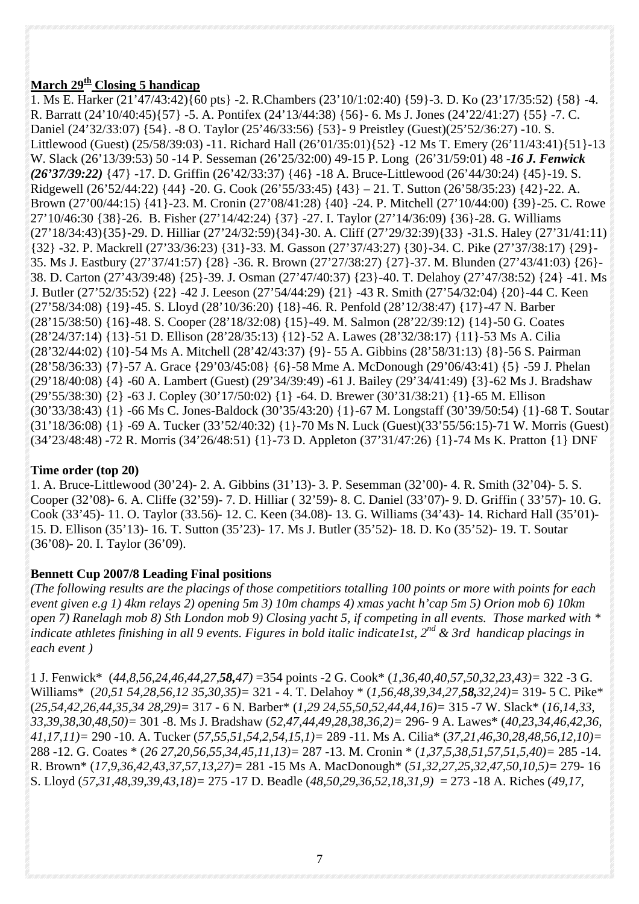#### **March 29th Closing 5 handicap**

1. Ms E. Harker (21'47/43:42){60 pts} -2. R.Chambers (23'10/1:02:40) {59}-3. D. Ko (23'17/35:52) {58} -4. R. Barratt (24'10/40:45){57} -5. A. Pontifex (24'13/44:38) {56}- 6. Ms J. Jones (24'22/41:27) {55} -7. C. Daniel (24'32/33:07) {54}. -8 O. Taylor (25'46/33:56) {53}- 9 Preistley (Guest)(25'52/36:27) -10. S. Littlewood (Guest) (25/58/39:03) -11. Richard Hall (26'01/35:01){52} -12 Ms T. Emery (26'11/43:41){51}-13 W. Slack (26'13/39:53) 50 -14 P. Sesseman (26'25/32:00) 49-15 P. Long (26'31/59:01) 48 -*16 J. Fenwick (26'37/39:22)* {47} -17. D. Griffin (26'42/33:37) {46} -18 A. Bruce-Littlewood (26'44/30:24) {45}-19. S. Ridgewell (26'52/44:22) {44} -20. G. Cook (26'55/33:45) {43} – 21. T. Sutton (26'58/35:23) {42}-22. A. Brown (27'00/44:15) {41}-23. M. Cronin (27'08/41:28) {40} -24. P. Mitchell (27'10/44:00) {39}-25. C. Rowe 27'10/46:30 {38}-26. B. Fisher (27'14/42:24) {37} -27. I. Taylor (27'14/36:09) {36}-28. G. Williams (27'18/34:43){35}-29. D. Hilliar (27'24/32:59){34}-30. A. Cliff (27'29/32:39){33} -31.S. Haley (27'31/41:11) {32} -32. P. Mackrell (27'33/36:23) {31}-33. M. Gasson (27'37/43:27) {30}-34. C. Pike (27'37/38:17) {29}- 35. Ms J. Eastbury (27'37/41:57) {28} -36. R. Brown (27'27/38:27) {27}-37. M. Blunden (27'43/41:03) {26}- 38. D. Carton (27'43/39:48) {25}-39. J. Osman (27'47/40:37) {23}-40. T. Delahoy (27'47/38:52) {24} -41. Ms J. Butler (27'52/35:52) {22} -42 J. Leeson (27'54/44:29) {21} -43 R. Smith (27'54/32:04) {20}-44 C. Keen (27'58/34:08) {19}-45. S. Lloyd (28'10/36:20) {18}-46. R. Penfold (28'12/38:47) {17}-47 N. Barber (28'15/38:50) {16}-48. S. Cooper (28'18/32:08) {15}-49. M. Salmon (28'22/39:12) {14}-50 G. Coates (28'24/37:14) {13}-51 D. Ellison (28'28/35:13) {12}-52 A. Lawes (28'32/38:17) {11}-53 Ms A. Cilia (28'32/44:02) {10}-54 Ms A. Mitchell (28'42/43:37) {9}- 55 A. Gibbins (28'58/31:13) {8}-56 S. Pairman (28'58/36:33) {7}-57 A. Grace {29'03/45:08} {6}-58 Mme A. McDonough (29'06/43:41) {5} -59 J. Phelan (29'18/40:08) {4} -60 A. Lambert (Guest) (29'34/39:49) -61 J. Bailey (29'34/41:49) {3}-62 Ms J. Bradshaw (29'55/38:30) {2} -63 J. Copley (30'17/50:02) {1} -64. D. Brewer (30'31/38:21) {1}-65 M. Ellison (30'33/38:43) {1} -66 Ms C. Jones-Baldock (30'35/43:20) {1}-67 M. Longstaff (30'39/50:54) {1}-68 T. Soutar (31'18/36:08) {1} -69 A. Tucker (33'52/40:32) {1}-70 Ms N. Luck (Guest)(33'55/56:15)-71 W. Morris (Guest) (34'23/48:48) -72 R. Morris (34'26/48:51) {1}-73 D. Appleton (37'31/47:26) {1}-74 Ms K. Pratton {1} DNF

#### **Time order (top 20)**

1. A. Bruce-Littlewood (30'24)- 2. A. Gibbins (31'13)- 3. P. Sesemman (32'00)- 4. R. Smith (32'04)- 5. S. Cooper (32'08)- 6. A. Cliffe (32'59)- 7. D. Hilliar ( 32'59)- 8. C. Daniel (33'07)- 9. D. Griffin ( 33'57)- 10. G. Cook (33'45)- 11. O. Taylor (33.56)- 12. C. Keen (34.08)- 13. G. Williams (34'43)- 14. Richard Hall (35'01)- 15. D. Ellison (35'13)- 16. T. Sutton (35'23)- 17. Ms J. Butler (35'52)- 18. D. Ko (35'52)- 19. T. Soutar (36'08)- 20. I. Taylor (36'09).

#### **Bennett Cup 2007/8 Leading Final positions**

*(The following results are the placings of those competitiors totalling 100 points or more with points for each event given e.g 1) 4km relays 2) opening 5m 3) 10m champs 4) xmas yacht h'cap 5m 5) Orion mob 6) 10km open 7) Ranelagh mob 8) Sth London mob 9) Closing yacht 5, if competing in all events. Those marked with \* indicate athletes finishing in all 9 events. Figures in bold italic indicatelst, 2<sup>nd</sup> & 3rd handicap placings in each event )*

1 J. Fenwick\* (*44,8,56,24,46,44,27,58,47)* =354 points -2 G. Cook\* (*1,36,40,40,57,50,32,23,43)=* 322 -3 G. Williams\* (*20,51 54,28,56,12 35,30,35)=* 321 - 4. T. Delahoy \* (*1,56,48,39,34,27,58,32,24)=* 319- 5 C. Pike\* (*25,54,42,26,44,35,34 28,29)=* 317 - 6 N. Barber\* (*1,29 24,55,50,52,44,44,16)=* 315 -7 W. Slack\* (*16,14,33, 33,39,38,30,48,50)=* 301 -8. Ms J. Bradshaw (*52,47,44,49,28,38,36,2)=* 296- 9 A. Lawes\* (*40,23,34,46,42,36, 41,17,11)=* 290 -10. A. Tucker (*57,55,51,54,2,54,15,1)=* 289 -11. Ms A. Cilia\* (*37,21,46,30,28,48,56,12,10)=* 288 -12. G. Coates \* (*26 27,20,56,55,34,45,11,13)=* 287 -13. M. Cronin \* (*1,37,5,38,51,57,51,5,40)=* 285 -14. R. Brown\* (*17,9,36,42,43,37,57,13,27)=* 281 -15 Ms A. MacDonough\* (*51,32,27,25,32,47,50,10,5)=* 279- 16 S. Lloyd (*57,31,48,39,39,43,18)=* 275 -17 D. Beadle (*48,50,29,36,52,18,31,9)* = 273 -18 A. Riches (*49,17,*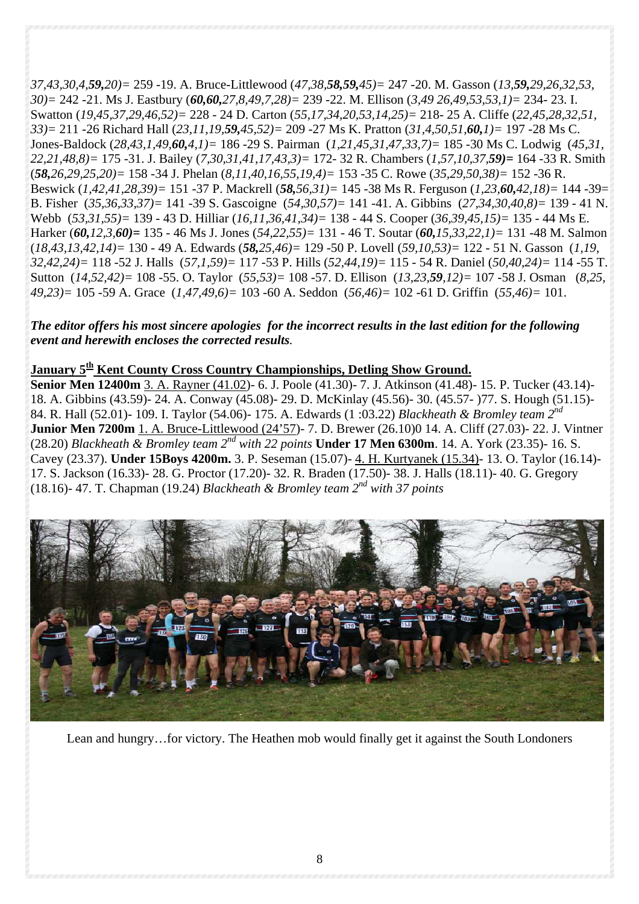*37,43,30,4,59,20)=* 259 -19. A. Bruce-Littlewood (*47,38,58,59,45)=* 247 -20. M. Gasson (*13,59,29,26,32,53, 30)=* 242 -21. Ms J. Eastbury (*60,60,27,8,49,7,28)=* 239 -22. M. Ellison (*3,49 26,49,53,53,1)=* 234- 23. I. Swatton (*19,45,37,29,46,52)=* 228 - 24 D. Carton (*55,17,34,20,53,14,25)=* 218- 25 A. Cliffe (*22,45,28,32,51, 33)=* 211 -26 Richard Hall (*23,11,19,59,45,52)=* 209 -27 Ms K. Pratton (*31,4,50,51,60,1)=* 197 -28 Ms C. Jones-Baldock (*28,43,1,49,60,4,1)=* 186 -29 S. Pairman (*1,21,45,31,47,33,7)=* 185 -30 Ms C. Lodwig (*45,31, 22,21,48,8)=* 175 -31. J. Bailey (*7,30,31,41,17,43,3)=* 172- 32 R. Chambers (*1,57,10,37,59)=* 164 -33 R. Smith (*58,26,29,25,20)=* 158 -34 J. Phelan (*8,11,40,16,55,19,4)=* 153 -35 C. Rowe (*35,29,50,38)=* 152 -36 R. Beswick (*1,42,41,28,39)=* 151 -37 P. Mackrell (*58,56,31)=* 145 -38 Ms R. Ferguson (*1,23,60,42,18)=* 144 -39= B. Fisher (*35,36,33,37)=* 141 -39 S. Gascoigne (*54,30,57)=* 141 -41. A. Gibbins (*27,34,30,40,8)=* 139 - 41 N. Webb (*53,31,55)=* 139 - 43 D. Hilliar (*16,11,36,41,34)=* 138 - 44 S. Cooper (*36,39,45,15)=* 135 - 44 Ms E. Harker (*60,12,3,60)=* 135 - 46 Ms J. Jones (*54,22,55)=* 131 - 46 T. Soutar (*60,15,33,22,1)=* 131 -48 M. Salmon (*18,43,13,42,14)=* 130 - 49 A. Edwards (*58,25,46)=* 129 -50 P. Lovell (*59,10,53)=* 122 - 51 N. Gasson (*1,19, 32,42,24)=* 118 -52 J. Halls (*57,1,59)=* 117 -53 P. Hills (*52,44,19)=* 115 - 54 R. Daniel (*50,40,24)=* 114 -55 T. Sutton (*14,52,42)=* 108 -55. O. Taylor (*55,53)=* 108 -57. D. Ellison (*13,23,59,12)=* 107 -58 J. Osman (*8,25, 49,23)=* 105 -59 A. Grace (*1,47,49,6)=* 103 -60 A. Seddon (*56,46)=* 102 -61 D. Griffin (*55,46)=* 101.

#### *The editor offers his most sincere apologies for the incorrect results in the last edition for the following event and herewith encloses the corrected results.*

#### **January 5th Kent County Cross Country Championships, Detling Show Ground.**

**Senior Men 12400m** 3. A. Rayner (41.02)- 6. J. Poole (41.30)- 7. J. Atkinson (41.48)- 15. P. Tucker (43.14)- 18. A. Gibbins (43.59)- 24. A. Conway (45.08)- 29. D. McKinlay (45.56)- 30. (45.57- )77. S. Hough (51.15)- 84. R. Hall (52.01)- 109. I. Taylor (54.06)- 175. A. Edwards (1 :03.22) *Blackheath & Bromley team 2nd*  **Junior Men 7200m** 1. A. Bruce-Littlewood (24'57)- 7. D. Brewer (26.10)0 14. A. Cliff (27.03)- 22. J. Vintner (28.20) *Blackheath & Bromley team 2nd with 22 points* **Under 17 Men 6300m**. 14. A. York (23.35)- 16. S. Cavey (23.37). **Under 15Boys 4200m.** 3. P. Seseman (15.07)- 4. H. Kurtyanek (15.34)- 13. O. Taylor (16.14)- 17. S. Jackson (16.33)- 28. G. Proctor (17.20)- 32. R. Braden (17.50)- 38. J. Halls (18.11)- 40. G. Gregory (18.16)- 47. T. Chapman (19.24) *Blackheath & Bromley team 2nd with 37 points*



Lean and hungry…for victory. The Heathen mob would finally get it against the South Londoners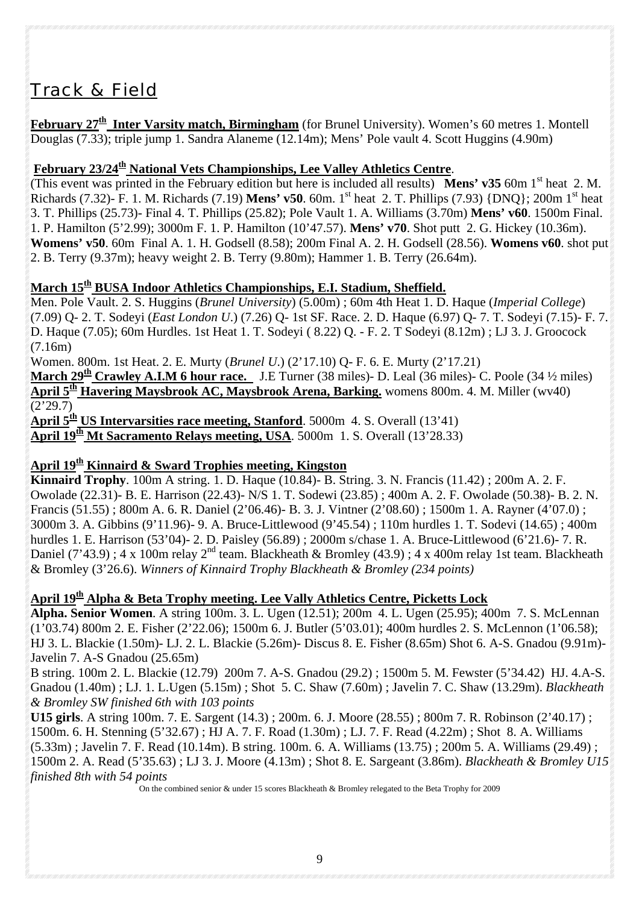# *Track & Field*

**February 27th Inter Varsity match, Birmingham** (for Brunel University). Women's 60 metres 1. Montell Douglas (7.33); triple jump 1. Sandra Alaneme (12.14m); Mens' Pole vault 4. Scott Huggins (4.90m)

#### February 23/24<sup>th</sup> National Vets Championships, Lee Valley Athletics Centre.

(This event was printed in the February edition but here is included all results) **Mens' v35** 60m 1<sup>st</sup> heat 2. M. Richards (7.32)- F. 1. M. Richards (7.19) **Mens' v50**. 60m. 1st heat 2. T. Phillips (7.93) {DNQ}; 200m 1st heat 3. T. Phillips (25.73)- Final 4. T. Phillips (25.82); Pole Vault 1. A. Williams (3.70m) **Mens' v60**. 1500m Final. 1. P. Hamilton (5'2.99); 3000m F. 1. P. Hamilton (10'47.57). **Mens' v70**. Shot putt 2. G. Hickey (10.36m). **Womens' v50**. 60m Final A. 1. H. Godsell (8.58); 200m Final A. 2. H. Godsell (28.56). **Womens v60**. shot put 2. B. Terry (9.37m); heavy weight 2. B. Terry (9.80m); Hammer 1. B. Terry (26.64m).

#### **March 15th BUSA Indoor Athletics Championships, E.I. Stadium, Sheffield.**

Men. Pole Vault. 2. S. Huggins (*Brunel University*) (5.00m) ; 60m 4th Heat 1. D. Haque (*Imperial College*) (7.09) Q- 2. T. Sodeyi (*East London U*.) (7.26) Q- 1st SF. Race. 2. D. Haque (6.97) Q- 7. T. Sodeyi (7.15)- F. 7. D. Haque (7.05); 60m Hurdles. 1st Heat 1. T. Sodeyi ( 8.22) Q. - F. 2. T Sodeyi (8.12m) ; LJ 3. J. Groocock (7.16m)

Women. 800m. 1st Heat. 2. E. Murty (*Brunel U*.) (2'17.10) Q- F. 6. E. Murty (2'17.21)

**March 29th Crawley A.I.M 6 hour race.** J.E Turner (38 miles)- D. Leal (36 miles)- C. Poole (34 ½ miles) **April 5th Havering Maysbrook AC, Maysbrook Arena, Barking.** womens 800m. 4. M. Miller (wv40)  $(2'29.7)$ 

**April 5th US Intervarsities race meeting, Stanford**. 5000m 4. S. Overall (13'41)

**April 19<sup>th</sup> Mt Sacramento Relays meeting, USA**. 5000m 1. S. Overall  $(13'28.33)$ 

#### April 19<sup>th</sup> Kinnaird & Sward Trophies meeting, Kingston

**Kinnaird Trophy**. 100m A string. 1. D. Haque (10.84)- B. String. 3. N. Francis (11.42) ; 200m A. 2. F. Owolade (22.31)- B. E. Harrison (22.43)- N/S 1. T. Sodewi (23.85) ; 400m A. 2. F. Owolade (50.38)- B. 2. N. Francis (51.55) ; 800m A. 6. R. Daniel (2'06.46)- B. 3. J. Vintner (2'08.60) ; 1500m 1. A. Rayner (4'07.0) ; 3000m 3. A. Gibbins (9'11.96)- 9. A. Bruce-Littlewood (9'45.54) ; 110m hurdles 1. T. Sodevi (14.65) ; 400m hurdles 1. E. Harrison (53'04)- 2. D. Paisley (56.89) ; 2000m s/chase 1. A. Bruce-Littlewood (6'21.6)- 7. R. Daniel (7'43.9) ; 4 x 100m relay 2<sup>nd</sup> team. Blackheath & Bromley (43.9) ; 4 x 400m relay 1st team. Blackheath & Bromley (3'26.6). *Winners of Kinnaird Trophy Blackheath & Bromley (234 points)*

#### **April 19th Alpha & Beta Trophy meeting. Lee Vally Athletics Centre, Picketts Lock**

**Alpha. Senior Women**. A string 100m. 3. L. Ugen (12.51); 200m 4. L. Ugen (25.95); 400m 7. S. McLennan (1'03.74) 800m 2. E. Fisher (2'22.06); 1500m 6. J. Butler (5'03.01); 400m hurdles 2. S. McLennon (1'06.58); HJ 3. L. Blackie (1.50m)- LJ. 2. L. Blackie (5.26m)- Discus 8. E. Fisher (8.65m) Shot 6. A-S. Gnadou (9.91m)- Javelin 7. A-S Gnadou (25.65m)

B string. 100m 2. L. Blackie (12.79) 200m 7. A-S. Gnadou (29.2) ; 1500m 5. M. Fewster (5'34.42) HJ. 4.A-S. Gnadou (1.40m) ; LJ. 1. L.Ugen (5.15m) ; Shot 5. C. Shaw (7.60m) ; Javelin 7. C. Shaw (13.29m). *Blackheath & Bromley SW finished 6th with 103 points* 

**U15 girls**. A string 100m. 7. E. Sargent (14.3) ; 200m. 6. J. Moore (28.55) ; 800m 7. R. Robinson (2'40.17) ; 1500m. 6. H. Stenning (5'32.67) ; HJ A. 7. F. Road (1.30m) ; LJ. 7. F. Read (4.22m) ; Shot 8. A. Williams (5.33m) ; Javelin 7. F. Read (10.14m). B string. 100m. 6. A. Williams (13.75) ; 200m 5. A. Williams (29.49) ; 1500m 2. A. Read (5'35.63) ; LJ 3. J. Moore (4.13m) ; Shot 8. E. Sargeant (3.86m). *Blackheath & Bromley U15 finished 8th with 54 points* 

On the combined senior & under 15 scores Blackheath & Bromley relegated to the Beta Trophy for 2009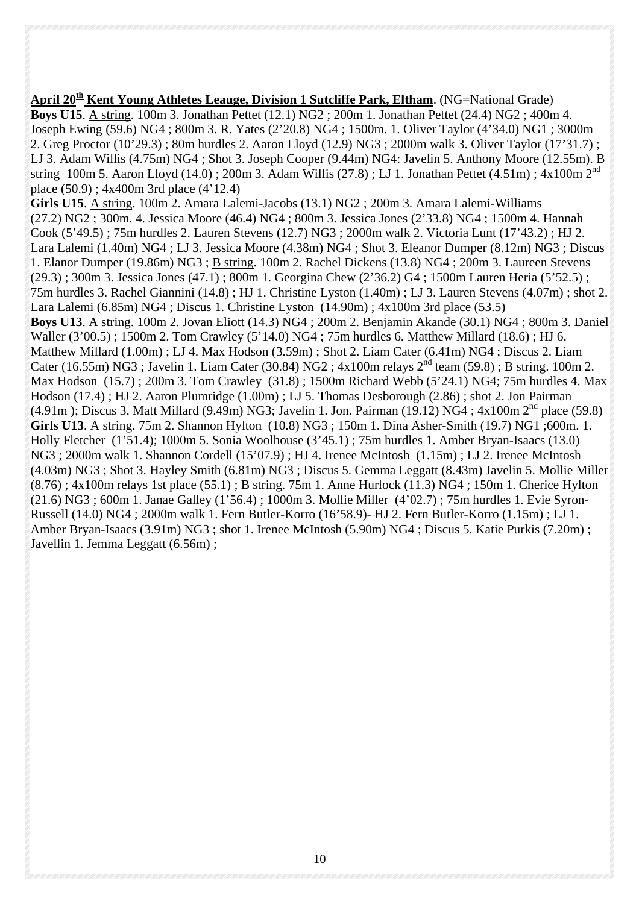**April 20<sup>th</sup> Kent Young Athletes Leauge, Division 1 Sutcliffe Park, Eltham.** (NG=National Grade) **Boys U15**. A string. 100m 3. Jonathan Pettet (12.1) NG2 ; 200m 1. Jonathan Pettet (24.4) NG2 ; 400m 4. Joseph Ewing (59.6) NG4 ; 800m 3. R. Yates (2'20.8) NG4 ; 1500m. 1. Oliver Taylor (4'34.0) NG1 ; 3000m 2. Greg Proctor (10'29.3) ; 80m hurdles 2. Aaron Lloyd (12.9) NG3 ; 2000m walk 3. Oliver Taylor (17'31.7) ; LJ 3. Adam Willis (4.75m) NG4 ; Shot 3. Joseph Cooper (9.44m) NG4: Javelin 5. Anthony Moore (12.55m). B string 100m 5. Aaron Lloyd (14.0) ; 200m 3. Adam Willis (27.8) ; LJ 1. Jonathan Pettet (4.51m) ; 4x100m 2<sup>nd</sup> place (50.9) ; 4x400m 3rd place (4'12.4) **Girls U15**. A string. 100m 2. Amara Lalemi-Jacobs (13.1) NG2 ; 200m 3. Amara Lalemi-Williams (27.2) NG2 ; 300m. 4. Jessica Moore (46.4) NG4 ; 800m 3. Jessica Jones (2'33.8) NG4 ; 1500m 4. Hannah Cook (5'49.5) ; 75m hurdles 2. Lauren Stevens (12.7) NG3 ; 2000m walk 2. Victoria Lunt (17'43.2) ; HJ 2. Lara Lalemi (1.40m) NG4 ; LJ 3. Jessica Moore (4.38m) NG4 ; Shot 3. Eleanor Dumper (8.12m) NG3 ; Discus 1. Elanor Dumper (19.86m) NG3 ; B string. 100m 2. Rachel Dickens (13.8) NG4 ; 200m 3. Laureen Stevens (29.3) ; 300m 3. Jessica Jones (47.1) ; 800m 1. Georgina Chew (2'36.2) G4 ; 1500m Lauren Heria (5'52.5) ; 75m hurdles 3. Rachel Giannini (14.8) ; HJ 1. Christine Lyston (1.40m) ; LJ 3. Lauren Stevens (4.07m) ; shot 2. Lara Lalemi (6.85m) NG4 ; Discus 1. Christine Lyston (14.90m) ; 4x100m 3rd place (53.5) **Boys U13**. A string. 100m 2. Jovan Eliott (14.3) NG4 ; 200m 2. Benjamin Akande (30.1) NG4 ; 800m 3. Daniel Waller (3'00.5) ; 1500m 2. Tom Crawley (5'14.0) NG4 ; 75m hurdles 6. Matthew Millard (18.6) ; HJ 6. Matthew Millard (1.00m) ; LJ 4. Max Hodson (3.59m) ; Shot 2. Liam Cater (6.41m) NG4 ; Discus 2. Liam Cater (16.55m) NG3; Javelin 1. Liam Cater (30.84) NG2;  $4x100m$  relays  $2<sup>nd</sup>$  team (59.8); B string. 100m 2. Max Hodson (15.7) ; 200m 3. Tom Crawley (31.8) ; 1500m Richard Webb (5'24.1) NG4; 75m hurdles 4. Max Hodson (17.4) ; HJ 2. Aaron Plumridge (1.00m) ; LJ 5. Thomas Desborough (2.86) ; shot 2. Jon Pairman  $(4.91m)$ ; Discus 3. Matt Millard  $(9.49m)$  NG3; Javelin 1. Jon. Pairman  $(19.12)$  NG4;  $4x100m$  2<sup>nd</sup> place (59.8) **Girls U13**. A string. 75m 2. Shannon Hylton (10.8) NG3 ; 150m 1. Dina Asher-Smith (19.7) NG1 ;600m. 1. Holly Fletcher (1'51.4); 1000m 5. Sonia Woolhouse (3'45.1) ; 75m hurdles 1. Amber Bryan-Isaacs (13.0) NG3 ; 2000m walk 1. Shannon Cordell (15'07.9) ; HJ 4. Irenee McIntosh (1.15m) ; LJ 2. Irenee McIntosh (4.03m) NG3 ; Shot 3. Hayley Smith (6.81m) NG3 ; Discus 5. Gemma Leggatt (8.43m) Javelin 5. Mollie Miller  $(8.76)$ ; 4x100m relays 1st place  $(55.1)$ ; B string. 75m 1. Anne Hurlock  $(11.3)$  NG4; 150m 1. Cherice Hylton (21.6) NG3 ; 600m 1. Janae Galley (1'56.4) ; 1000m 3. Mollie Miller (4'02.7) ; 75m hurdles 1. Evie Syron-Russell (14.0) NG4 ; 2000m walk 1. Fern Butler-Korro (16'58.9)- HJ 2. Fern Butler-Korro (1.15m) ; LJ 1. Amber Bryan-Isaacs (3.91m) NG3 ; shot 1. Irenee McIntosh (5.90m) NG4 ; Discus 5. Katie Purkis (7.20m) ; Javellin 1. Jemma Leggatt (6.56m) ;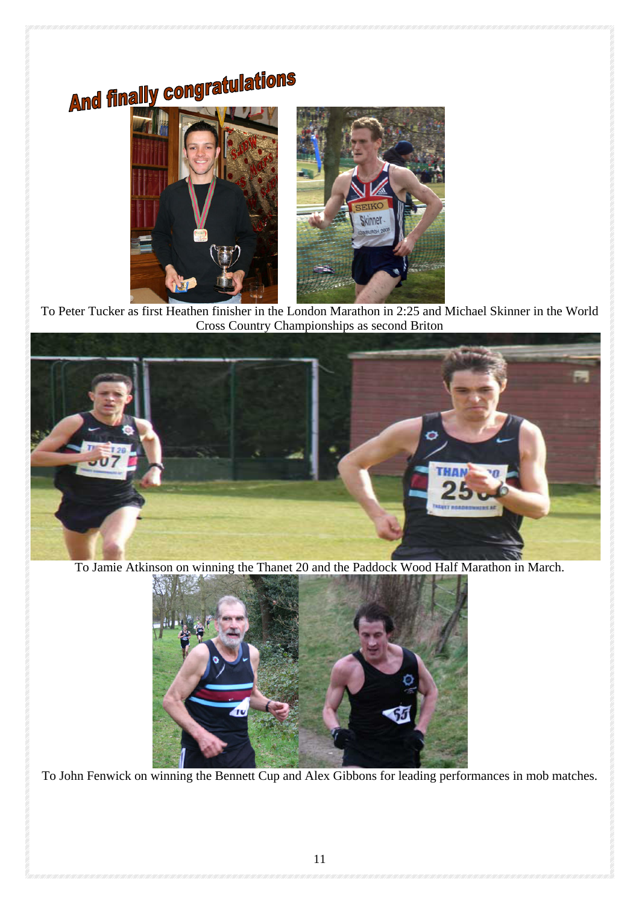# **And finally congratulations**



 To Peter Tucker as first Heathen finisher in the London Marathon in 2:25 and Michael Skinner in the World Cross Country Championships as second Briton



To Jamie Atkinson on winning the Thanet 20 and the Paddock Wood Half Marathon in March.



To John Fenwick on winning the Bennett Cup and Alex Gibbons for leading performances in mob matches.